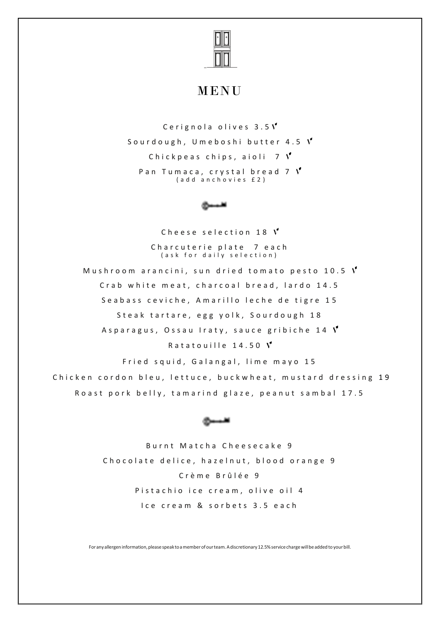

## MENU

Cerignola olives  $3.5V$ Sourdough, Umeboshi butter 4.5  $V$ Chickpeas chips, aioli  $7 \nV$ P an Tumaca, crystal bread 7  $V$ (add anchovies £2)

Cheese selection 18  $V$ Charcuterie plate 7 each (ask for daily selection) Mushroom arancini, sun dried tomato pesto 10.5  $V$ Crab white meat, charcoal bread, lardo 14.5 Seabass ceviche, Amarillo leche de tigre 15 Steak tartare, egg yolk, Sourdough 18 Asparagus, Ossau Iraty, sauce gribiche 14  $V$ Ratatouille  $14.50 \text{ V}$ Fried squid, Galangal, lime mayo 15

Chicken cordon bleu, lettuce, buckwheat, mustard dressing 19 Roast pork belly, tamarind glaze, peanut sambal 17.5



Burnt Matcha Cheesecake 9 Chocolate delice, hazelnut, blood orange 9 C r è m e B r û l é e 9 Pistachio ice cream, olive oil 4 I ce cream & sorbets 3.5 each

For any allergen information, please speak to a member of our team. A discretionary 12.5% service charge will be added to your bill.